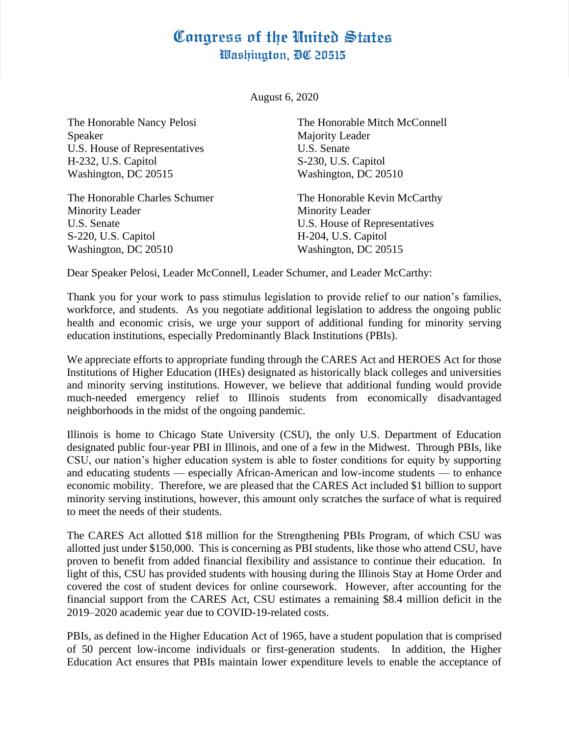## Congress of the United States Washington, DC 20515

August 6, 2020

The Honorable Nancy Pelosi Speaker U.S. House of Representatives H-232, U.S. Capitol Washington, DC 20515

The Honorable Charles Schumer Minority Leader U.S. Senate S-220, U.S. Capitol Washington, DC 20510

The Honorable Mitch McConnell Majority Leader U.S. Senate S-230, U.S. Capitol Washington, DC 20510

The Honorable Kevin McCarthy Minority Leader U.S. House of Representatives H-204, U.S. Capitol Washington, DC 20515

Dear Speaker Pelosi, Leader McConnell, Leader Schumer, and Leader McCarthy:

Thank you for your work to pass stimulus legislation to provide relief to our nation's families, workforce, and students. As you negotiate additional legislation to address the ongoing public health and economic crisis, we urge your support of additional funding for minority serving education institutions, especially Predominantly Black Institutions (PBIs).

We appreciate efforts to appropriate funding through the CARES Act and HEROES Act for those Institutions of Higher Education (IHEs) designated as historically black colleges and universities and minority serving institutions. However, we believe that additional funding would provide much-needed emergency relief to Illinois students from economically disadvantaged neighborhoods in the midst of the ongoing pandemic.

Illinois is home to Chicago State University (CSU), the only U.S. Department of Education designated public four-year PBI in Illinois, and one of a few in the Midwest. Through PBIs, like CSU, our nation's higher education system is able to foster conditions for equity by supporting and educating students — especially African-American and low-income students — to enhance economic mobility. Therefore, we are pleased that the CARES Act included \$1 billion to support minority serving institutions, however, this amount only scratches the surface of what is required to meet the needs of their students.

The CARES Act allotted \$18 million for the Strengthening PBIs Program, of which CSU was allotted just under \$150,000. This is concerning as PBI students, like those who attend CSU, have proven to benefit from added financial flexibility and assistance to continue their education. In light of this, CSU has provided students with housing during the Illinois Stay at Home Order and covered the cost of student devices for online coursework. However, after accounting for the financial support from the CARES Act, CSU estimates a remaining \$8.4 million deficit in the 2019–2020 academic year due to COVID-19-related costs.

PBIs, as defined in the Higher Education Act of 1965, have a student population that is comprised of 50 percent low-income individuals or first-generation students. In addition, the Higher Education Act ensures that PBIs maintain lower expenditure levels to enable the acceptance of